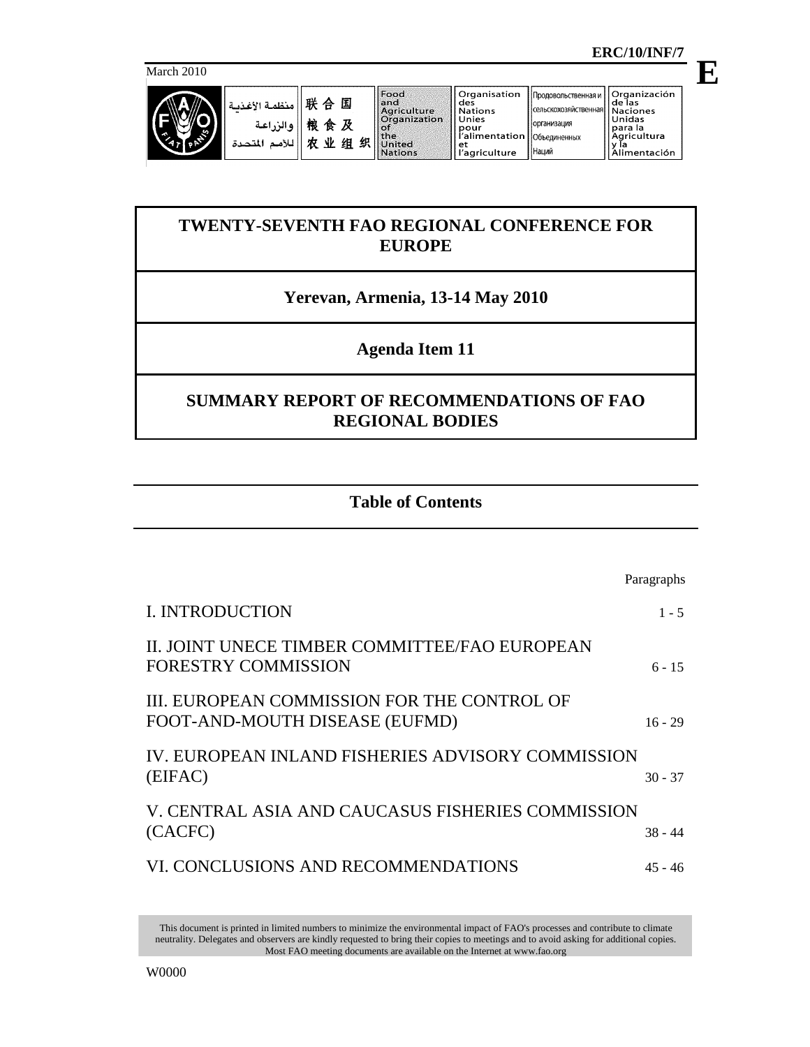March 2010



**E**

**Organización<br>de las<br>Naciones<br>Unidas** Продовольственная и сельскохозяйственная para la<br>Agricultura y ľa<br>Alimentación

организация

Объединенных

Наций

# **TWENTY-SEVENTH FAO REGIONAL CONFERENCE FOR EUROPE**

## **Yerevan, Armenia, 13-14 May 2010**

## **Agenda Item 11**

## **SUMMARY REPORT OF RECOMMENDATIONS OF FAO REGIONAL BODIES**

## **Table of Contents**

|                                                                               | Paragraphs |
|-------------------------------------------------------------------------------|------------|
| <b>I. INTRODUCTION</b>                                                        | $1 - 5$    |
| II. JOINT UNECE TIMBER COMMITTEE/FAO EUROPEAN<br><b>FORESTRY COMMISSION</b>   | $6 - 15$   |
| III. EUROPEAN COMMISSION FOR THE CONTROL OF<br>FOOT-AND-MOUTH DISEASE (EUFMD) | $16 - 29$  |
| IV. EUROPEAN INLAND FISHERIES ADVISORY COMMISSION<br>(EIFAC)                  | $30 - 37$  |
| V. CENTRAL ASIA AND CAUCASUS FISHERIES COMMISSION<br>(CACFC)                  | $38 - 44$  |
| VI. CONCLUSIONS AND RECOMMENDATIONS                                           | 45 - 46    |

This document is printed in limited numbers to minimize the environmental impact of FAO's processes and contribute to climate neutrality. Delegates and observers are kindly requested to bring their copies to meetings and to avoid asking for additional copies. Most FAO meeting documents are available on the Internet at www.fao.org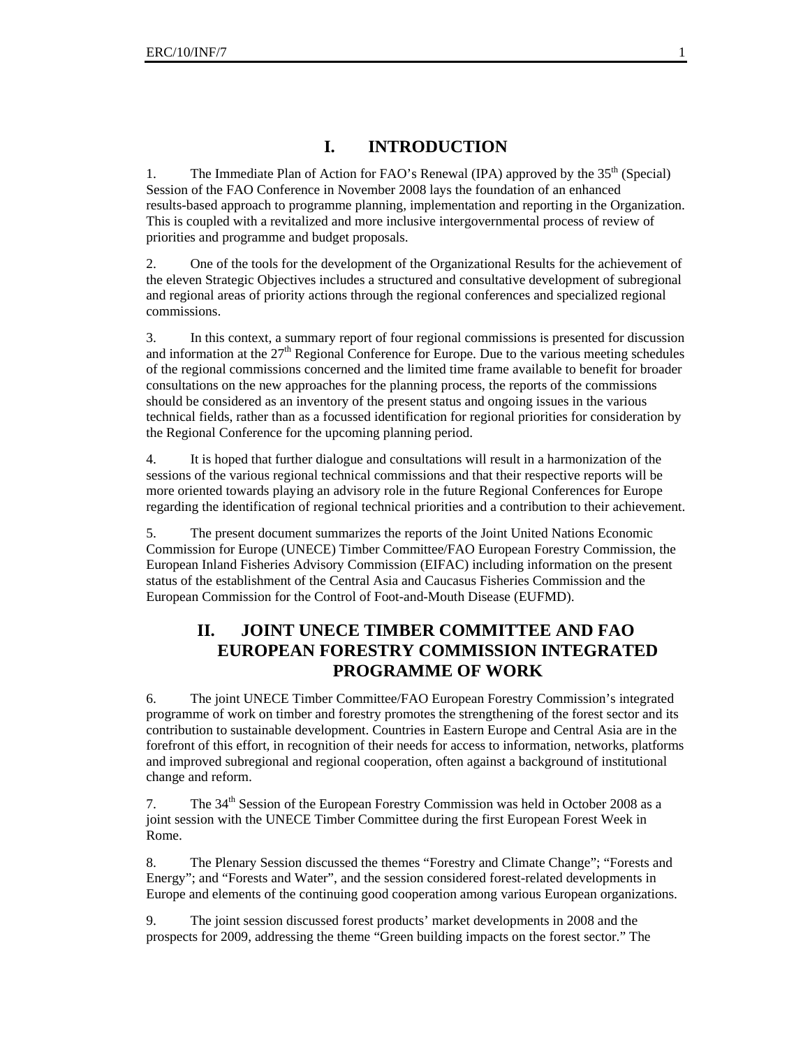## **I. INTRODUCTION**

1. The Immediate Plan of Action for FAO's Renewal (IPA) approved by the 35<sup>th</sup> (Special) Session of the FAO Conference in November 2008 lays the foundation of an enhanced results-based approach to programme planning, implementation and reporting in the Organization. This is coupled with a revitalized and more inclusive intergovernmental process of review of priorities and programme and budget proposals.

2. One of the tools for the development of the Organizational Results for the achievement of the eleven Strategic Objectives includes a structured and consultative development of subregional and regional areas of priority actions through the regional conferences and specialized regional commissions.

3. In this context, a summary report of four regional commissions is presented for discussion and information at the  $27<sup>th</sup>$  Regional Conference for Europe. Due to the various meeting schedules of the regional commissions concerned and the limited time frame available to benefit for broader consultations on the new approaches for the planning process, the reports of the commissions should be considered as an inventory of the present status and ongoing issues in the various technical fields, rather than as a focussed identification for regional priorities for consideration by the Regional Conference for the upcoming planning period.

4. It is hoped that further dialogue and consultations will result in a harmonization of the sessions of the various regional technical commissions and that their respective reports will be more oriented towards playing an advisory role in the future Regional Conferences for Europe regarding the identification of regional technical priorities and a contribution to their achievement.

5. The present document summarizes the reports of the Joint United Nations Economic Commission for Europe (UNECE) Timber Committee/FAO European Forestry Commission, the European Inland Fisheries Advisory Commission (EIFAC) including information on the present status of the establishment of the Central Asia and Caucasus Fisheries Commission and the European Commission for the Control of Foot-and-Mouth Disease (EUFMD).

### **II. JOINT UNECE TIMBER COMMITTEE AND FAO EUROPEAN FORESTRY COMMISSION INTEGRATED PROGRAMME OF WORK**

6. The joint UNECE Timber Committee/FAO European Forestry Commission's integrated programme of work on timber and forestry promotes the strengthening of the forest sector and its contribution to sustainable development. Countries in Eastern Europe and Central Asia are in the forefront of this effort, in recognition of their needs for access to information, networks, platforms and improved subregional and regional cooperation, often against a background of institutional change and reform.

7. The 34<sup>th</sup> Session of the European Forestry Commission was held in October 2008 as a joint session with the UNECE Timber Committee during the first European Forest Week in Rome.

8. The Plenary Session discussed the themes "Forestry and Climate Change"; "Forests and Energy"; and "Forests and Water", and the session considered forest-related developments in Europe and elements of the continuing good cooperation among various European organizations.

9. The joint session discussed forest products' market developments in 2008 and the prospects for 2009, addressing the theme "Green building impacts on the forest sector." The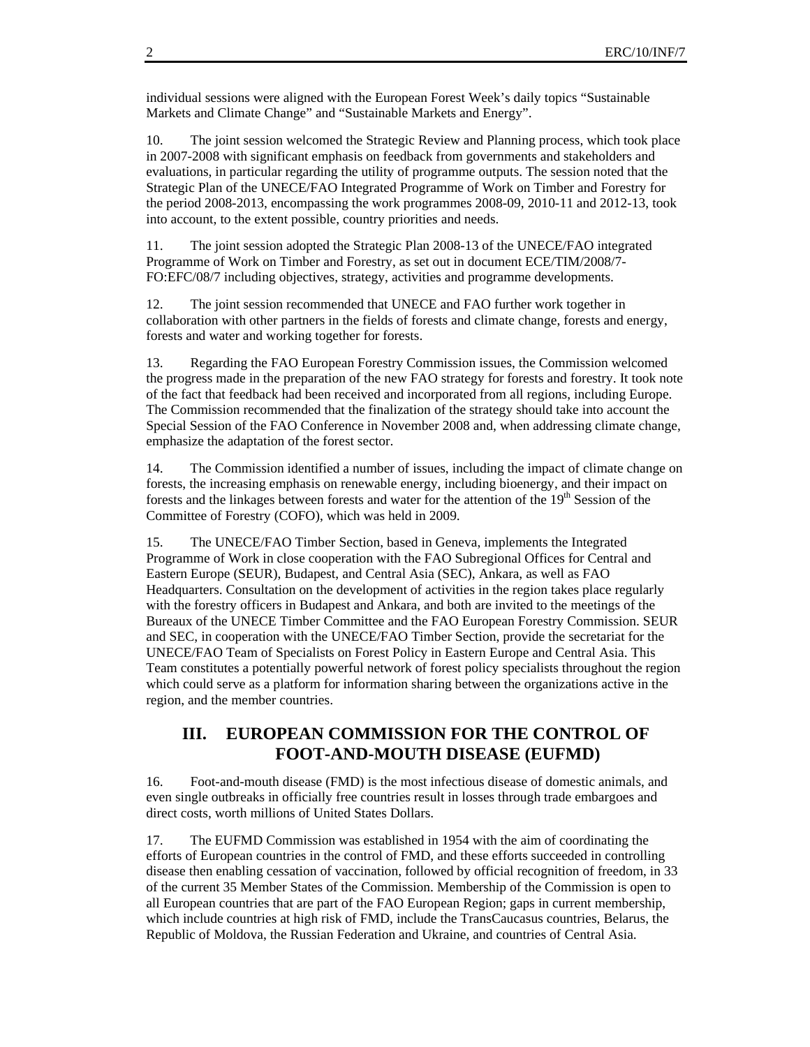individual sessions were aligned with the European Forest Week's daily topics "Sustainable Markets and Climate Change" and "Sustainable Markets and Energy".

10. The joint session welcomed the Strategic Review and Planning process, which took place in 2007-2008 with significant emphasis on feedback from governments and stakeholders and evaluations, in particular regarding the utility of programme outputs. The session noted that the Strategic Plan of the UNECE/FAO Integrated Programme of Work on Timber and Forestry for the period 2008-2013, encompassing the work programmes 2008-09, 2010-11 and 2012-13, took into account, to the extent possible, country priorities and needs.

11. The joint session adopted the Strategic Plan 2008-13 of the UNECE/FAO integrated Programme of Work on Timber and Forestry, as set out in document ECE/TIM/2008/7- FO:EFC/08/7 including objectives, strategy, activities and programme developments.

12. The joint session recommended that UNECE and FAO further work together in collaboration with other partners in the fields of forests and climate change, forests and energy, forests and water and working together for forests.

13. Regarding the FAO European Forestry Commission issues, the Commission welcomed the progress made in the preparation of the new FAO strategy for forests and forestry. It took note of the fact that feedback had been received and incorporated from all regions, including Europe. The Commission recommended that the finalization of the strategy should take into account the Special Session of the FAO Conference in November 2008 and, when addressing climate change, emphasize the adaptation of the forest sector.

14. The Commission identified a number of issues, including the impact of climate change on forests, the increasing emphasis on renewable energy, including bioenergy, and their impact on forests and the linkages between forests and water for the attention of the 19<sup>th</sup> Session of the Committee of Forestry (COFO), which was held in 2009.

15. The UNECE/FAO Timber Section, based in Geneva, implements the Integrated Programme of Work in close cooperation with the FAO Subregional Offices for Central and Eastern Europe (SEUR), Budapest, and Central Asia (SEC), Ankara, as well as FAO Headquarters. Consultation on the development of activities in the region takes place regularly with the forestry officers in Budapest and Ankara, and both are invited to the meetings of the Bureaux of the UNECE Timber Committee and the FAO European Forestry Commission. SEUR and SEC, in cooperation with the UNECE/FAO Timber Section, provide the secretariat for the UNECE/FAO Team of Specialists on Forest Policy in Eastern Europe and Central Asia. This Team constitutes a potentially powerful network of forest policy specialists throughout the region which could serve as a platform for information sharing between the organizations active in the region, and the member countries.

#### **III. EUROPEAN COMMISSION FOR THE CONTROL OF FOOT-AND-MOUTH DISEASE (EUFMD)**

16. Foot-and-mouth disease (FMD) is the most infectious disease of domestic animals, and even single outbreaks in officially free countries result in losses through trade embargoes and direct costs, worth millions of United States Dollars.

17. The EUFMD Commission was established in 1954 with the aim of coordinating the efforts of European countries in the control of FMD, and these efforts succeeded in controlling disease then enabling cessation of vaccination, followed by official recognition of freedom, in 33 of the current 35 Member States of the Commission. Membership of the Commission is open to all European countries that are part of the FAO European Region; gaps in current membership, which include countries at high risk of FMD, include the TransCaucasus countries, Belarus, the Republic of Moldova, the Russian Federation and Ukraine, and countries of Central Asia.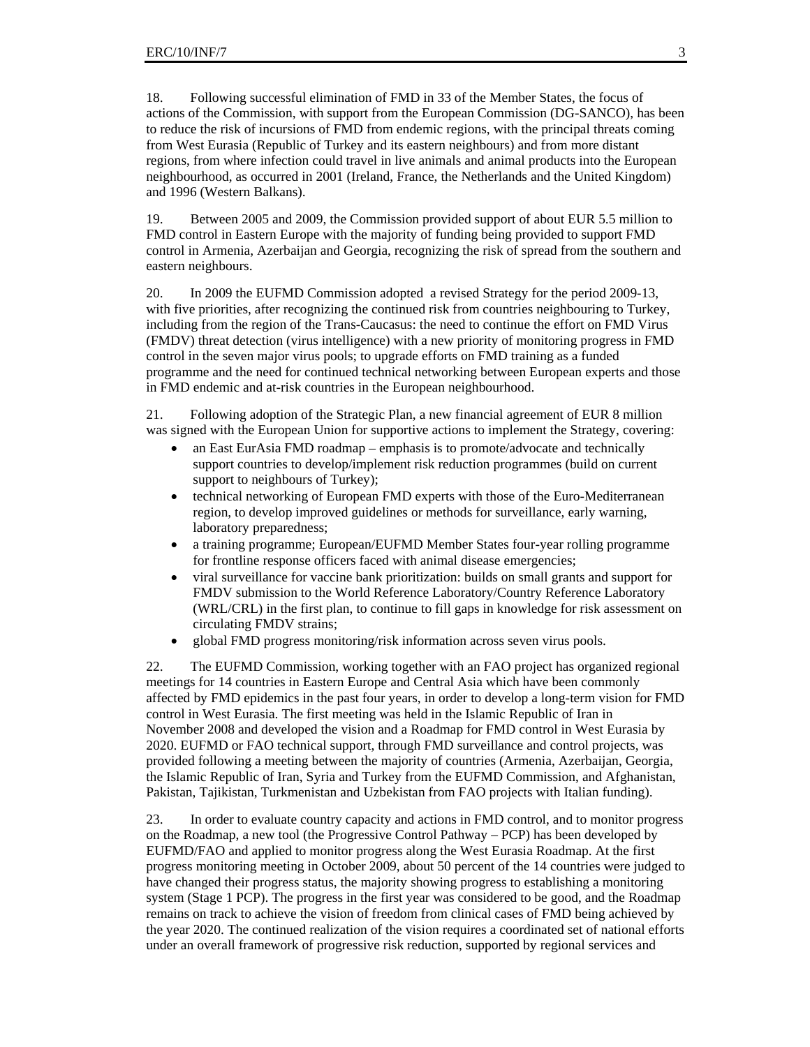18. Following successful elimination of FMD in 33 of the Member States, the focus of actions of the Commission, with support from the European Commission (DG-SANCO), has been to reduce the risk of incursions of FMD from endemic regions, with the principal threats coming from West Eurasia (Republic of Turkey and its eastern neighbours) and from more distant regions, from where infection could travel in live animals and animal products into the European neighbourhood, as occurred in 2001 (Ireland, France, the Netherlands and the United Kingdom) and 1996 (Western Balkans).

19. Between 2005 and 2009, the Commission provided support of about EUR 5.5 million to FMD control in Eastern Europe with the majority of funding being provided to support FMD control in Armenia, Azerbaijan and Georgia, recognizing the risk of spread from the southern and eastern neighbours.

20. In 2009 the EUFMD Commission adopted a revised Strategy for the period 2009-13, with five priorities, after recognizing the continued risk from countries neighbouring to Turkey, including from the region of the Trans-Caucasus: the need to continue the effort on FMD Virus (FMDV) threat detection (virus intelligence) with a new priority of monitoring progress in FMD control in the seven major virus pools; to upgrade efforts on FMD training as a funded programme and the need for continued technical networking between European experts and those in FMD endemic and at-risk countries in the European neighbourhood.

21. Following adoption of the Strategic Plan, a new financial agreement of EUR 8 million was signed with the European Union for supportive actions to implement the Strategy, covering:

- an East EurAsia FMD roadmap emphasis is to promote/advocate and technically support countries to develop/implement risk reduction programmes (build on current support to neighbours of Turkey);
- technical networking of European FMD experts with those of the Euro-Mediterranean region, to develop improved guidelines or methods for surveillance, early warning, laboratory preparedness;
- a training programme; European/EUFMD Member States four-year rolling programme for frontline response officers faced with animal disease emergencies;
- viral surveillance for vaccine bank prioritization: builds on small grants and support for FMDV submission to the World Reference Laboratory/Country Reference Laboratory (WRL/CRL) in the first plan, to continue to fill gaps in knowledge for risk assessment on circulating FMDV strains;
- global FMD progress monitoring/risk information across seven virus pools.

22. The EUFMD Commission, working together with an FAO project has organized regional meetings for 14 countries in Eastern Europe and Central Asia which have been commonly affected by FMD epidemics in the past four years, in order to develop a long-term vision for FMD control in West Eurasia. The first meeting was held in the Islamic Republic of Iran in November 2008 and developed the vision and a Roadmap for FMD control in West Eurasia by 2020. EUFMD or FAO technical support, through FMD surveillance and control projects, was provided following a meeting between the majority of countries (Armenia, Azerbaijan, Georgia, the Islamic Republic of Iran, Syria and Turkey from the EUFMD Commission, and Afghanistan, Pakistan, Tajikistan, Turkmenistan and Uzbekistan from FAO projects with Italian funding).

23. In order to evaluate country capacity and actions in FMD control, and to monitor progress on the Roadmap, a new tool (the Progressive Control Pathway – PCP) has been developed by EUFMD/FAO and applied to monitor progress along the West Eurasia Roadmap. At the first progress monitoring meeting in October 2009, about 50 percent of the 14 countries were judged to have changed their progress status, the majority showing progress to establishing a monitoring system (Stage 1 PCP). The progress in the first year was considered to be good, and the Roadmap remains on track to achieve the vision of freedom from clinical cases of FMD being achieved by the year 2020. The continued realization of the vision requires a coordinated set of national efforts under an overall framework of progressive risk reduction, supported by regional services and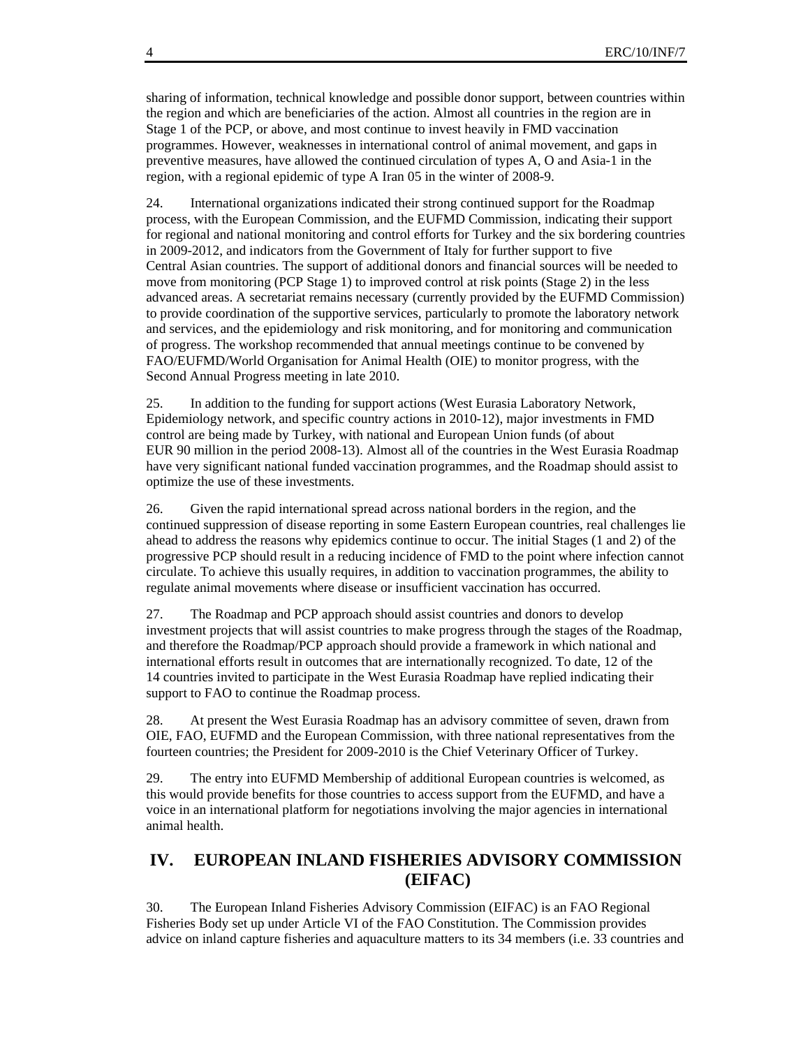sharing of information, technical knowledge and possible donor support, between countries within the region and which are beneficiaries of the action. Almost all countries in the region are in Stage 1 of the PCP, or above, and most continue to invest heavily in FMD vaccination programmes. However, weaknesses in international control of animal movement, and gaps in preventive measures, have allowed the continued circulation of types A, O and Asia-1 in the region, with a regional epidemic of type A Iran 05 in the winter of 2008-9.

24. International organizations indicated their strong continued support for the Roadmap process, with the European Commission, and the EUFMD Commission, indicating their support for regional and national monitoring and control efforts for Turkey and the six bordering countries in 2009-2012, and indicators from the Government of Italy for further support to five Central Asian countries. The support of additional donors and financial sources will be needed to move from monitoring (PCP Stage 1) to improved control at risk points (Stage 2) in the less advanced areas. A secretariat remains necessary (currently provided by the EUFMD Commission) to provide coordination of the supportive services, particularly to promote the laboratory network and services, and the epidemiology and risk monitoring, and for monitoring and communication of progress. The workshop recommended that annual meetings continue to be convened by FAO/EUFMD/World Organisation for Animal Health (OIE) to monitor progress, with the Second Annual Progress meeting in late 2010.

25. In addition to the funding for support actions (West Eurasia Laboratory Network, Epidemiology network, and specific country actions in 2010-12), major investments in FMD control are being made by Turkey, with national and European Union funds (of about EUR 90 million in the period 2008-13). Almost all of the countries in the West Eurasia Roadmap have very significant national funded vaccination programmes, and the Roadmap should assist to optimize the use of these investments.

26. Given the rapid international spread across national borders in the region, and the continued suppression of disease reporting in some Eastern European countries, real challenges lie ahead to address the reasons why epidemics continue to occur. The initial Stages (1 and 2) of the progressive PCP should result in a reducing incidence of FMD to the point where infection cannot circulate. To achieve this usually requires, in addition to vaccination programmes, the ability to regulate animal movements where disease or insufficient vaccination has occurred.

27. The Roadmap and PCP approach should assist countries and donors to develop investment projects that will assist countries to make progress through the stages of the Roadmap, and therefore the Roadmap/PCP approach should provide a framework in which national and international efforts result in outcomes that are internationally recognized. To date, 12 of the 14 countries invited to participate in the West Eurasia Roadmap have replied indicating their support to FAO to continue the Roadmap process.

28. At present the West Eurasia Roadmap has an advisory committee of seven, drawn from OIE, FAO, EUFMD and the European Commission, with three national representatives from the fourteen countries; the President for 2009-2010 is the Chief Veterinary Officer of Turkey.

29. The entry into EUFMD Membership of additional European countries is welcomed, as this would provide benefits for those countries to access support from the EUFMD, and have a voice in an international platform for negotiations involving the major agencies in international animal health.

### **IV. EUROPEAN INLAND FISHERIES ADVISORY COMMISSION (EIFAC)**

30. The European Inland Fisheries Advisory Commission (EIFAC) is an FAO Regional Fisheries Body set up under Article VI of the FAO Constitution. The Commission provides advice on inland capture fisheries and aquaculture matters to its 34 members (i.e. 33 countries and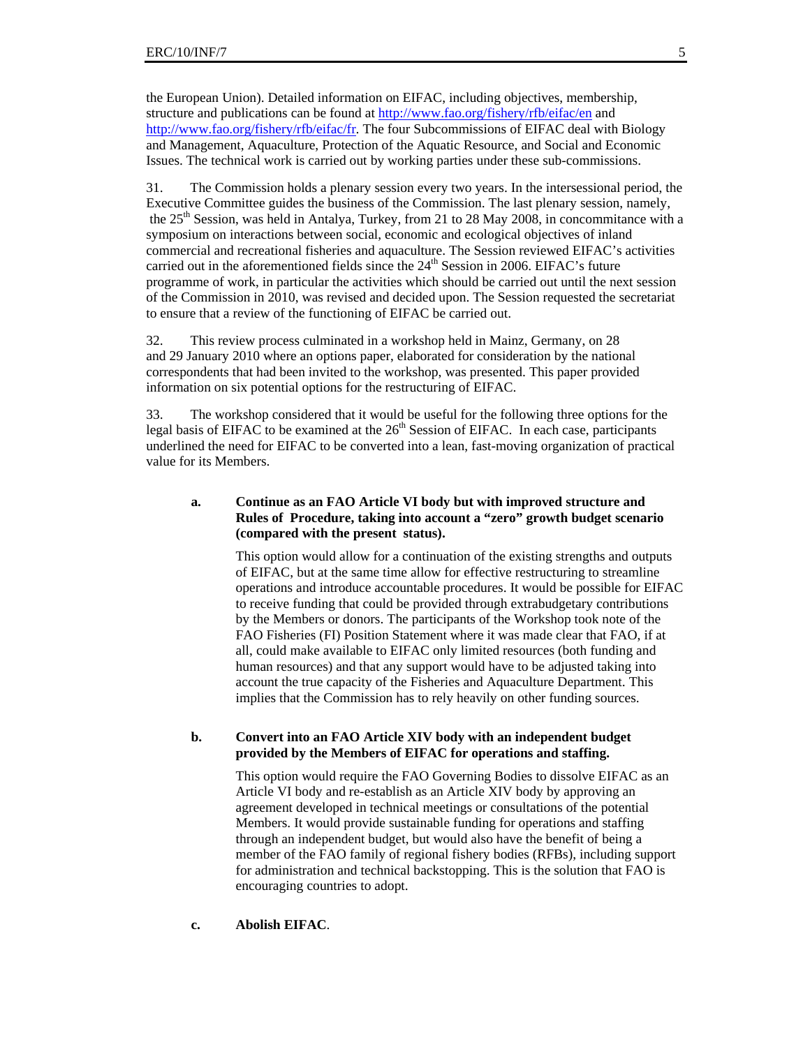the European Union). Detailed information on EIFAC, including objectives, membership, structure and publications can be found at http://www.fao.org/fishery/rfb/eifac/en and http://www.fao.org/fishery/rfb/eifac/fr. The four Subcommissions of EIFAC deal with Biology and Management, Aquaculture, Protection of the Aquatic Resource, and Social and Economic Issues. The technical work is carried out by working parties under these sub-commissions.

31. The Commission holds a plenary session every two years. In the intersessional period, the Executive Committee guides the business of the Commission. The last plenary session, namely, the 25<sup>th</sup> Session, was held in Antalya, Turkey, from 21 to 28 May 2008, in concommitance with a symposium on interactions between social, economic and ecological objectives of inland commercial and recreational fisheries and aquaculture. The Session reviewed EIFAC's activities carried out in the aforementioned fields since the  $24<sup>th</sup>$  Session in 2006. EIFAC's future programme of work, in particular the activities which should be carried out until the next session of the Commission in 2010, was revised and decided upon. The Session requested the secretariat to ensure that a review of the functioning of EIFAC be carried out.

32. This review process culminated in a workshop held in Mainz, Germany, on 28 and 29 January 2010 where an options paper, elaborated for consideration by the national correspondents that had been invited to the workshop, was presented. This paper provided information on six potential options for the restructuring of EIFAC.

33. The workshop considered that it would be useful for the following three options for the legal basis of EIFAC to be examined at the  $26<sup>th</sup>$  Session of EIFAC. In each case, participants underlined the need for EIFAC to be converted into a lean, fast-moving organization of practical value for its Members.

#### **a. Continue as an FAO Article VI body but with improved structure and Rules of Procedure, taking into account a "zero" growth budget scenario (compared with the present status).**

This option would allow for a continuation of the existing strengths and outputs of EIFAC, but at the same time allow for effective restructuring to streamline operations and introduce accountable procedures. It would be possible for EIFAC to receive funding that could be provided through extrabudgetary contributions by the Members or donors. The participants of the Workshop took note of the FAO Fisheries (FI) Position Statement where it was made clear that FAO, if at all, could make available to EIFAC only limited resources (both funding and human resources) and that any support would have to be adjusted taking into account the true capacity of the Fisheries and Aquaculture Department. This implies that the Commission has to rely heavily on other funding sources.

#### **b. Convert into an FAO Article XIV body with an independent budget provided by the Members of EIFAC for operations and staffing.**

This option would require the FAO Governing Bodies to dissolve EIFAC as an Article VI body and re-establish as an Article XIV body by approving an agreement developed in technical meetings or consultations of the potential Members. It would provide sustainable funding for operations and staffing through an independent budget, but would also have the benefit of being a member of the FAO family of regional fishery bodies (RFBs), including support for administration and technical backstopping. This is the solution that FAO is encouraging countries to adopt.

#### **c. Abolish EIFAC**.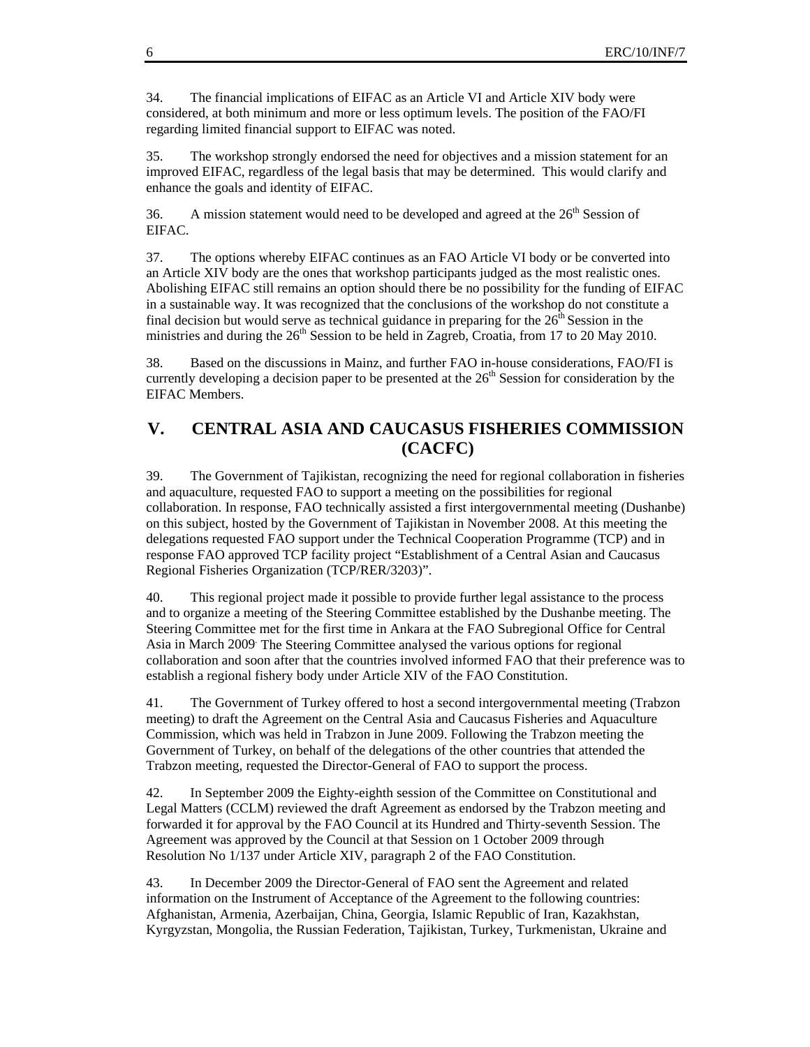34. The financial implications of EIFAC as an Article VI and Article XIV body were considered, at both minimum and more or less optimum levels. The position of the FAO/FI regarding limited financial support to EIFAC was noted.

35. The workshop strongly endorsed the need for objectives and a mission statement for an improved EIFAC, regardless of the legal basis that may be determined. This would clarify and enhance the goals and identity of EIFAC.

36. A mission statement would need to be developed and agreed at the  $26<sup>th</sup>$  Session of EIFAC.

37. The options whereby EIFAC continues as an FAO Article VI body or be converted into an Article XIV body are the ones that workshop participants judged as the most realistic ones. Abolishing EIFAC still remains an option should there be no possibility for the funding of EIFAC in a sustainable way. It was recognized that the conclusions of the workshop do not constitute a final decision but would serve as technical guidance in preparing for the  $26<sup>th</sup>$  Session in the ministries and during the  $26<sup>th</sup>$  Session to be held in Zagreb, Croatia, from 17 to 20 May 2010.

38. Based on the discussions in Mainz, and further FAO in-house considerations, FAO/FI is currently developing a decision paper to be presented at the  $26<sup>th</sup>$  Session for consideration by the EIFAC Members.

### **V. CENTRAL ASIA AND CAUCASUS FISHERIES COMMISSION (CACFC)**

39. The Government of Tajikistan, recognizing the need for regional collaboration in fisheries and aquaculture, requested FAO to support a meeting on the possibilities for regional collaboration. In response, FAO technically assisted a first intergovernmental meeting (Dushanbe) on this subject, hosted by the Government of Tajikistan in November 2008. At this meeting the delegations requested FAO support under the Technical Cooperation Programme (TCP) and in response FAO approved TCP facility project "Establishment of a Central Asian and Caucasus Regional Fisheries Organization (TCP/RER/3203)".

40. This regional project made it possible to provide further legal assistance to the process and to organize a meeting of the Steering Committee established by the Dushanbe meeting. The Steering Committee met for the first time in Ankara at the FAO Subregional Office for Central Asia in March 2009 The Steering Committee analysed the various options for regional collaboration and soon after that the countries involved informed FAO that their preference was to establish a regional fishery body under Article XIV of the FAO Constitution.

41. The Government of Turkey offered to host a second intergovernmental meeting (Trabzon meeting) to draft the Agreement on the Central Asia and Caucasus Fisheries and Aquaculture Commission, which was held in Trabzon in June 2009. Following the Trabzon meeting the Government of Turkey, on behalf of the delegations of the other countries that attended the Trabzon meeting, requested the Director-General of FAO to support the process.

42. In September 2009 the Eighty-eighth session of the Committee on Constitutional and Legal Matters (CCLM) reviewed the draft Agreement as endorsed by the Trabzon meeting and forwarded it for approval by the FAO Council at its Hundred and Thirty-seventh Session. The Agreement was approved by the Council at that Session on 1 October 2009 through Resolution No 1/137 under Article XIV, paragraph 2 of the FAO Constitution.

43. In December 2009 the Director-General of FAO sent the Agreement and related information on the Instrument of Acceptance of the Agreement to the following countries: Afghanistan, Armenia, Azerbaijan, China, Georgia, Islamic Republic of Iran, Kazakhstan, Kyrgyzstan, Mongolia, the Russian Federation, Tajikistan, Turkey, Turkmenistan, Ukraine and